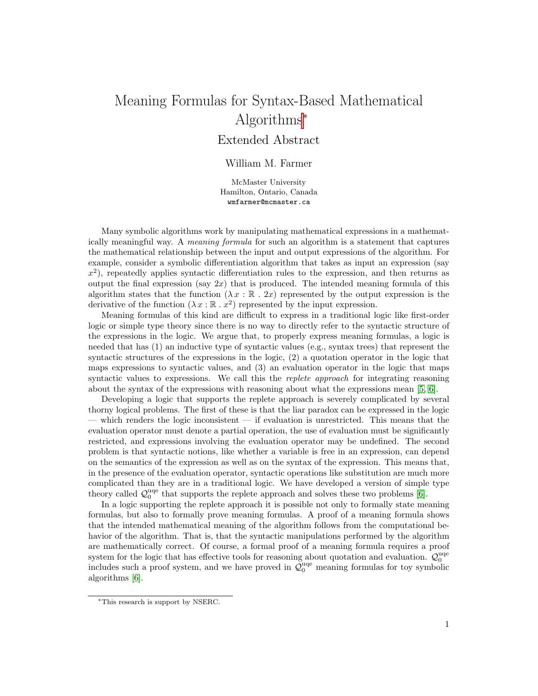# Meaning Formulas for Syntax-Based Mathematical Algorithms<sup>∗</sup>

# Extended Abstract

## William M. Farmer

McMaster University Hamilton, Ontario, Canada wmfarmer@mcmaster.ca

Many symbolic algorithms work by manipulating mathematical expressions in a mathematically meaningful way. A meaning formula for such an algorithm is a statement that captures the mathematical relationship between the input and output expressions of the algorithm. For example, consider a symbolic differentiation algorithm that takes as input an expression (say  $x^2$ ), repeatedly applies syntactic differentiation rules to the expression, and then returns as output the final expression (say  $2x$ ) that is produced. The intended meaning formula of this algorithm states that the function  $(\lambda x : \mathbb{R} \cdot 2x)$  represented by the output expression is the derivative of the function  $(\lambda x : \mathbb{R} \cdot x^2)$  represented by the input expression.

Meaning formulas of this kind are difficult to express in a traditional logic like first-order logic or simple type theory since there is no way to directly refer to the syntactic structure of the expressions in the logic. We argue that, to properly express meaning formulas, a logic is needed that has (1) an inductive type of syntactic values (e.g., syntax trees) that represent the syntactic structures of the expressions in the logic, (2) a quotation operator in the logic that maps expressions to syntactic values, and (3) an evaluation operator in the logic that maps syntactic values to expressions. We call this the *replete approach* for integrating reasoning about the syntax of the expressions with reasoning about what the expressions mean [\[5,](#page-1-0) [6\]](#page-1-1).

Developing a logic that supports the replete approach is severely complicated by several thorny logical problems. The first of these is that the liar paradox can be expressed in the logic — which renders the logic inconsistent — if evaluation is unrestricted. This means that the evaluation operator must denote a partial operation, the use of evaluation must be significantly restricted, and expressions involving the evaluation operator may be undefined. The second problem is that syntactic notions, like whether a variable is free in an expression, can depend on the semantics of the expression as well as on the syntax of the expression. This means that, in the presence of the evaluation operator, syntactic operations like substitution are much more complicated than they are in a traditional logic. We have developed a version of simple type theory called  $\mathcal{Q}_0^{\text{uqe}}$  that supports the replete approach and solves these two problems [\[6\]](#page-1-1).

In a logic supporting the replete approach it is possible not only to formally state meaning formulas, but also to formally prove meaning formulas. A proof of a meaning formula shows that the intended mathematical meaning of the algorithm follows from the computational behavior of the algorithm. That is, that the syntactic manipulations performed by the algorithm are mathematically correct. Of course, a formal proof of a meaning formula requires a proof system for the logic that has effective tools for reasoning about quotation and evaluation.  $\mathcal{Q}_0^{\text{uqe}}$ includes such a proof system, and we have proved in  $\mathcal{Q}_0^{\text{uqe}}$  meaning formulas for toy symbolic algorithms [\[6\]](#page-1-1).

<sup>∗</sup>This research is support by NSERC.